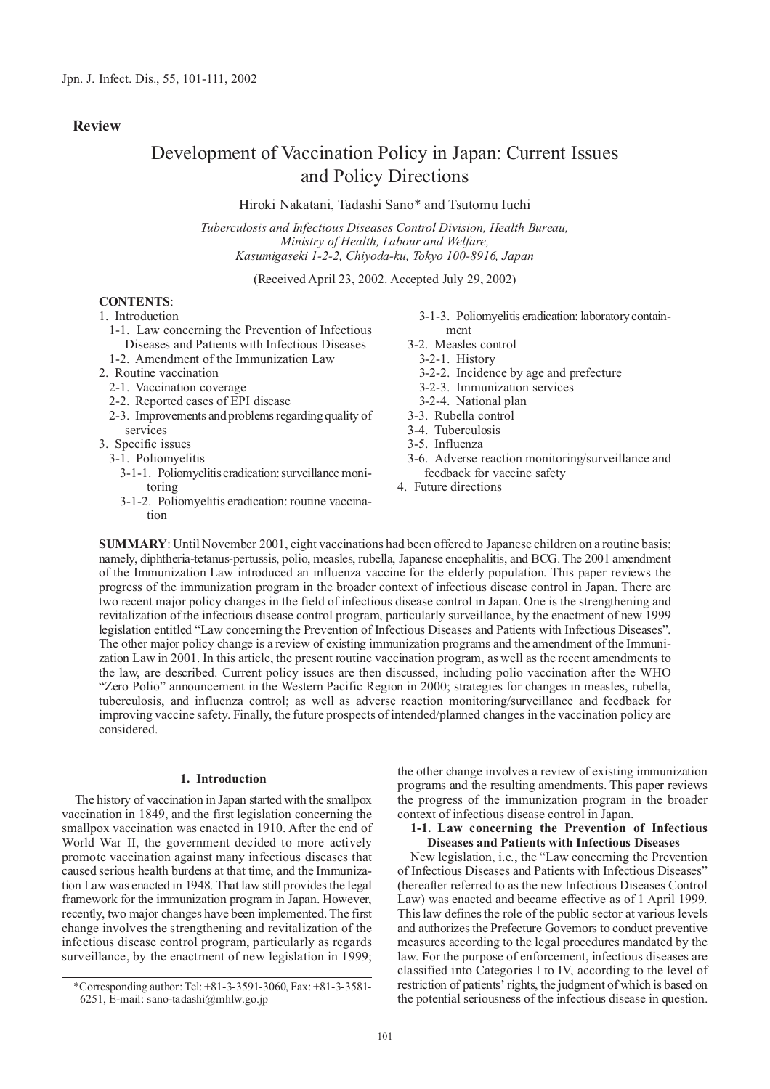# **Review**

# Development of Vaccination Policy in Japan: Current Issues and Policy Directions

Hiroki Nakatani, Tadashi Sano\* and Tsutomu Iuchi

*Tuberculosis and Infectious Diseases Control Division, Health Bureau, Ministry of Health, Labour and Welfare, Kasumigaseki 1-2-2, Chiyoda-ku, Tokyo 100-8916, Japan*

(Received April 23, 2002. Accepted July 29, 2002)

# **CONTENTS**:

# 1. Introduction

- 1-1. Law concerning the Prevention of Infectious Diseases and Patients with Infectious Diseases 1-2. Amendment of the Immunization Law
- 2. Routine vaccination
	-
	- 2-1. Vaccination coverage
	- 2-2. Reported cases of EPI disease
	- 2-3. Improvements and problems regarding quality of services
- 3. Specific issues
	- 3-1. Poliomyelitis
		- 3-1-1. Poliomyelitis eradication: surveillance monitoring
		- 3-1-2. Poliomyelitis eradication: routine vaccination
- 3-1-3. Poliomyelitis eradication: laboratory containment
- 3-2. Measles control
	- 3-2-1. History
	- 3-2-2. Incidence by age and prefecture
	- 3-2-3. Immunization services
- 3-2-4. National plan
- 3-3. Rubella control
- 3-4. Tuberculosis
- 3-5. Influenza
- 3-6. Adverse reaction monitoring/surveillance and feedback for vaccine safety
- 4. Future directions

**SUMMARY**: Until November 2001, eight vaccinations had been offered to Japanese children on a routine basis; namely, diphtheria-tetanus-pertussis, polio, measles, rubella, Japanese encephalitis, and BCG. The 2001 amendment of the Immunization Law introduced an influenza vaccine for the elderly population. This paper reviews the progress of the immunization program in the broader context of infectious disease control in Japan. There are two recent major policy changes in the field of infectious disease control in Japan. One is the strengthening and revitalization of the infectious disease control program, particularly surveillance, by the enactment of new 1999 legislation entitled "Law concerning the Prevention of Infectious Diseases and Patients with Infectious Diseases". The other major policy change is a review of existing immunization programs and the amendment of the Immunization Law in 2001. In this article, the present routine vaccination program, as well as the recent amendments to the law, are described. Current policy issues are then discussed, including polio vaccination after the WHO "Zero Polio" announcement in the Western Pacific Region in 2000; strategies for changes in measles, rubella, tuberculosis, and influenza control; as well as adverse reaction monitoring/surveillance and feedback for improving vaccine safety. Finally, the future prospects of intended/planned changes in the vaccination policy are considered.

#### **1. Introduction**

The history of vaccination in Japan started with the smallpox vaccination in 1849, and the first legislation concerning the smallpox vaccination was enacted in 1910. After the end of World War II, the government decided to more actively promote vaccination against many infectious diseases that caused serious health burdens at that time, and the Immunization Law was enacted in 1948. That law still provides the legal framework for the immunization program in Japan. However, recently, two major changes have been implemented. The first change involves the strengthening and revitalization of the infectious disease control program, particularly as regards surveillance, by the enactment of new legislation in 1999;

the other change involves a review of existing immunization programs and the resulting amendments. This paper reviews the progress of the immunization program in the broader context of infectious disease control in Japan.

**1-1. Law concerning the Prevention of Infectious Diseases and Patients with Infectious Diseases**

New legislation, i.e., the "Law concerning the Prevention of Infectious Diseases and Patients with Infectious Diseases" (hereafter referred to as the new Infectious Diseases Control Law) was enacted and became effective as of 1 April 1999. This law defines the role of the public sector at various levels and authorizes the Prefecture Governors to conduct preventive measures according to the legal procedures mandated by the law. For the purpose of enforcement, infectious diseases are classified into Categories I to IV, according to the level of restriction of patients' rights, the judgment of which is based on the potential seriousness of the infectious disease in question.

<sup>\*</sup>Corresponding author: Tel: +81-3-3591-3060, Fax: +81-3-3581- 6251, E-mail: sano-tadashi@mhlw.go.jp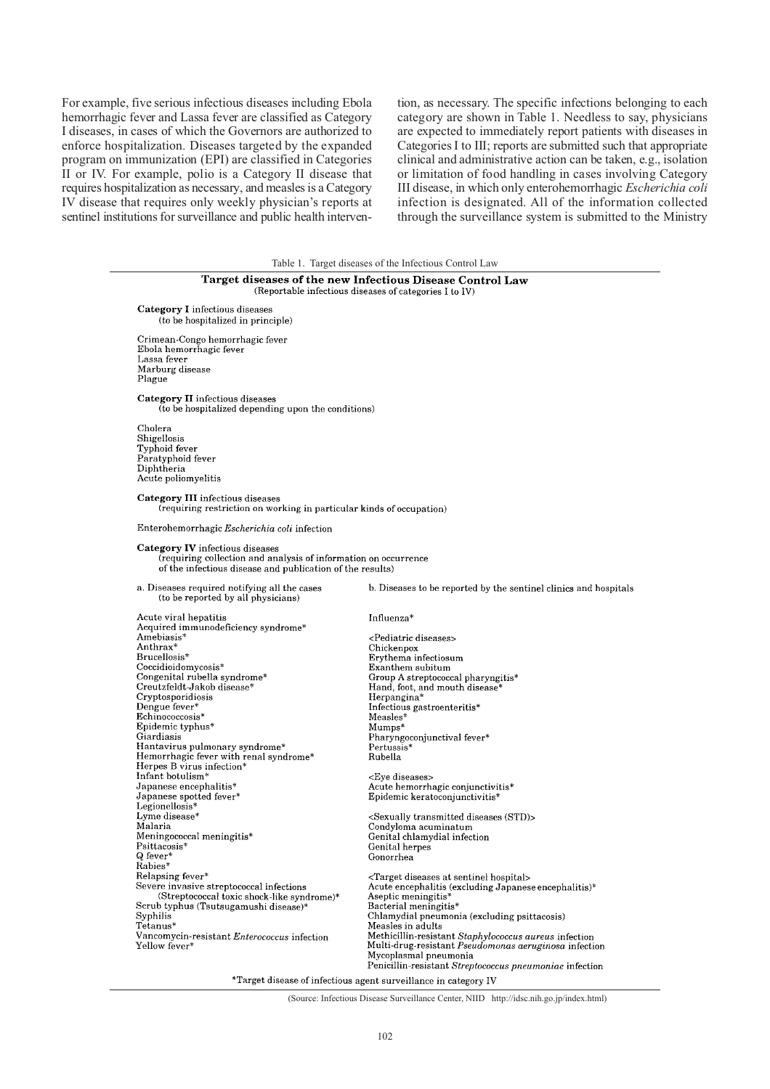For example, five serious infectious diseases including Ebola hemorrhagic fever and Lassa fever are classified as Category I diseases, in cases of which the Governors are authorized to enforce hospitalization. Diseases targeted by the expanded program on immunization (EPI) are classified in Categories II or IV. For example, polio is a Category II disease that requires hospitalization as necessary, and measles is a Category IV disease that requires only weekly physician's reports at sentinel institutions for surveillance and public health intervention, as necessary. The specific infections belonging to each category are shown in Table 1. Needless to say, physicians are expected to immediately report patients with diseases in Categories I to III; reports are submitted such that appropriate clinical and administrative action can be taken, e.g., isolation or limitation of food handling in cases involving Category III disease, in which only enterohemorrhagic *Escherichia coli* infection is designated. All of the information collected through the surveillance system is submitted to the Ministry

|                                                                                                                                                                                                                                                                                                                                                                                                                                                                                                                                                                                                        | Table 1. Target diseases of the Infectious Control Law                                                                                                                                                                                                                                                                                                                                                                                                                                                                                                                                                 |
|--------------------------------------------------------------------------------------------------------------------------------------------------------------------------------------------------------------------------------------------------------------------------------------------------------------------------------------------------------------------------------------------------------------------------------------------------------------------------------------------------------------------------------------------------------------------------------------------------------|--------------------------------------------------------------------------------------------------------------------------------------------------------------------------------------------------------------------------------------------------------------------------------------------------------------------------------------------------------------------------------------------------------------------------------------------------------------------------------------------------------------------------------------------------------------------------------------------------------|
|                                                                                                                                                                                                                                                                                                                                                                                                                                                                                                                                                                                                        | Target diseases of the new Infectious Disease Control Law<br>(Reportable infectious diseases of categories I to IV)                                                                                                                                                                                                                                                                                                                                                                                                                                                                                    |
| Category I infectious diseases<br>(to be hospitalized in principle)                                                                                                                                                                                                                                                                                                                                                                                                                                                                                                                                    |                                                                                                                                                                                                                                                                                                                                                                                                                                                                                                                                                                                                        |
| Crimean-Congo hemorrhagic fever<br>Ebola hemorrhagic fever<br>Lassa fever<br>Marburg disease<br>Plague                                                                                                                                                                                                                                                                                                                                                                                                                                                                                                 |                                                                                                                                                                                                                                                                                                                                                                                                                                                                                                                                                                                                        |
| Category II infectious diseases<br>(to be hospitalized depending upon the conditions)                                                                                                                                                                                                                                                                                                                                                                                                                                                                                                                  |                                                                                                                                                                                                                                                                                                                                                                                                                                                                                                                                                                                                        |
| Cholera<br>Shigellosis<br>Typhoid fever<br>Paratyphoid fever<br>Diphtheria<br>Acute poliomyelitis                                                                                                                                                                                                                                                                                                                                                                                                                                                                                                      |                                                                                                                                                                                                                                                                                                                                                                                                                                                                                                                                                                                                        |
| <b>Category III</b> infectious diseases<br>(requiring restriction on working in particular kinds of occupation)                                                                                                                                                                                                                                                                                                                                                                                                                                                                                        |                                                                                                                                                                                                                                                                                                                                                                                                                                                                                                                                                                                                        |
| Enterohemorrhagic Escherichia coli infection                                                                                                                                                                                                                                                                                                                                                                                                                                                                                                                                                           |                                                                                                                                                                                                                                                                                                                                                                                                                                                                                                                                                                                                        |
| Category IV infectious diseases<br>(requiring collection and analysis of information on occurrence<br>of the infectious disease and publication of the results)                                                                                                                                                                                                                                                                                                                                                                                                                                        |                                                                                                                                                                                                                                                                                                                                                                                                                                                                                                                                                                                                        |
| a. Diseases required notifying all the cases<br>(to be reported by all physicians)                                                                                                                                                                                                                                                                                                                                                                                                                                                                                                                     | b. Diseases to be reported by the sentinel clinics and hospitals                                                                                                                                                                                                                                                                                                                                                                                                                                                                                                                                       |
| Acute viral hepatitis<br>Acquired immunodeficiency syndrome*<br>Amebiasis*<br>Anthrax*<br>Brucellosis <sup>*</sup><br>Coccidioidomycosis*<br>Congenital rubella syndrome*<br>Creutzfeldt-Jakob disease*<br>Cryptosporidiosis<br>Dengue fever*<br>Echinococcosis*<br>Epidemic typhus*<br>Giardiasis<br>Hantavirus pulmonary syndrome*<br>Hemorrhagic fever with renal syndrome*<br>Herpes B virus infection*<br>Infant botulism*<br>Japanese encephalitis*<br>Japanese spotted fever*<br>Legionellosis*<br>Lyme disease*<br>Malaria<br>Meningococcal meningitis*<br>Psittacosis*<br>Q fever*<br>Rabies* | Influenza*<br><pediatric diseases=""><br/>Chickenpox<br/>Erythema infectiosum<br/>Exanthem subitum<br/>Group A streptococcal pharyngitis*<br/>Hand, foot, and mouth disease*<br/>Herpangina*<br/>Infectious gastroenteritis*<br/>Measles*<br/><math>Mumps*</math><br/>Pharyngoconjunctival fever*<br/>Pertussis*<br/>Rubella<br/><eye diseases=""><br/>Acute hemorrhagic conjunctivitis*<br/>Epidemic keratoconjunctivitis*<br/><sexually (std)="" diseases="" transmitted=""><br/>Condyloma acuminatum<br/>Genital chlamydial infection<br/>Genital herpes<br/>Gonorrhea</sexually></eye></pediatric> |
| Relapsing fever*<br>Severe invasive streptococcal infections<br>(Streptococcal toxic shock-like syndrome)*<br>Scrub typhus (Tsutsugamushi disease)*<br>Syphilis<br>Tetanus*<br>Vancomycin-resistant <i>Enterococcus</i> infection<br>Yellow fever*                                                                                                                                                                                                                                                                                                                                                     | <target at="" diseases="" hospital="" sentinel=""><br/>Acute encephalitis (excluding Japanese encephalitis)*<br/>Aseptic meningitis*<br/>Bacterial meningitis*<br/>Chlamydial pneumonia (excluding psittacosis)<br/>Measles in adults<br/>Methicillin-resistant Staphylococcus aureus infection<br/>Multi-drug-resistant <i>Pseudomonas aeruginosa</i> infection<br/>Mycoplasmal pneumonia<br/>Penicillin-resistant Streptococcus pneumoniae infection</target>                                                                                                                                        |

\*Target disease of infectious agent surveillance in category IV

(Source: Infectious Disease Surveillance Center, NIID http://idsc.nih.go.jp/index.html)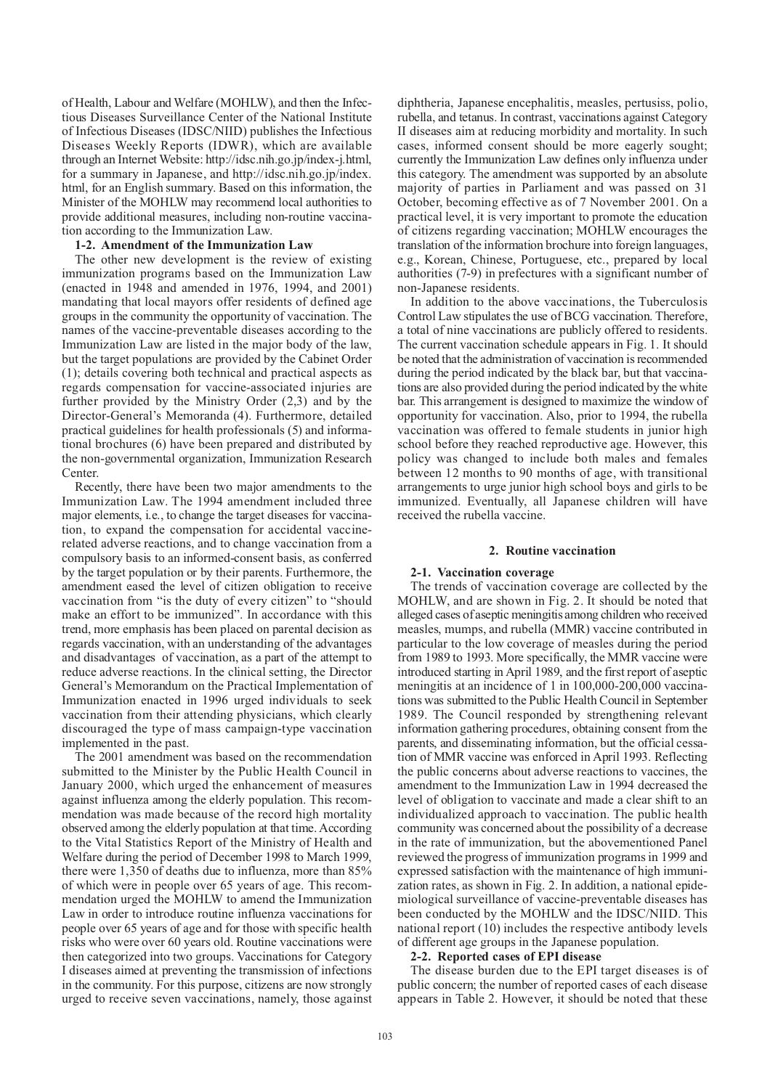of Health, Labour and Welfare (MOHLW), and then the Infectious Diseases Surveillance Center of the National Institute of Infectious Diseases (IDSC/NIID) publishes the Infectious Diseases Weekly Reports (IDWR), which are available through an Internet Website: http://idsc.nih.go.jp/index-j.html, for a summary in Japanese, and http://idsc.nih.go.jp/index. html, for an English summary. Based on this information, the Minister of the MOHLW may recommend local authorities to provide additional measures, including non-routine vaccination according to the Immunization Law.

## **1-2. Amendment of the Immunization Law**

The other new development is the review of existing immunization programs based on the Immunization Law (enacted in 1948 and amended in 1976, 1994, and 2001) mandating that local mayors offer residents of defined age groups in the community the opportunity of vaccination. The names of the vaccine-preventable diseases according to the Immunization Law are listed in the major body of the law, but the target populations are provided by the Cabinet Order (1); details covering both technical and practical aspects as regards compensation for vaccine-associated injuries are further provided by the Ministry Order (2,3) and by the Director-General's Memoranda (4). Furthermore, detailed practical guidelines for health professionals (5) and informational brochures (6) have been prepared and distributed by the non-governmental organization, Immunization Research Center.

Recently, there have been two major amendments to the Immunization Law. The 1994 amendment included three major elements, i.e., to change the target diseases for vaccination, to expand the compensation for accidental vaccinerelated adverse reactions, and to change vaccination from a compulsory basis to an informed-consent basis, as conferred by the target population or by their parents. Furthermore, the amendment eased the level of citizen obligation to receive vaccination from "is the duty of every citizen" to "should make an effort to be immunized". In accordance with this trend, more emphasis has been placed on parental decision as regards vaccination, with an understanding of the advantages and disadvantages of vaccination, as a part of the attempt to reduce adverse reactions. In the clinical setting, the Director General's Memorandum on the Practical Implementation of Immunization enacted in 1996 urged individuals to seek vaccination from their attending physicians, which clearly discouraged the type of mass campaign-type vaccination implemented in the past.

The 2001 amendment was based on the recommendation submitted to the Minister by the Public Health Council in January 2000, which urged the enhancement of measures against influenza among the elderly population. This recommendation was made because of the record high mortality observed among the elderly population at that time. According to the Vital Statistics Report of the Ministry of Health and Welfare during the period of December 1998 to March 1999, there were 1,350 of deaths due to influenza, more than 85% of which were in people over 65 years of age. This recommendation urged the MOHLW to amend the Immunization Law in order to introduce routine influenza vaccinations for people over 65 years of age and for those with specific health risks who were over 60 years old. Routine vaccinations were then categorized into two groups. Vaccinations for Category I diseases aimed at preventing the transmission of infections in the community. For this purpose, citizens are now strongly urged to receive seven vaccinations, namely, those against

diphtheria, Japanese encephalitis, measles, pertusiss, polio, rubella, and tetanus. In contrast, vaccinations against Category II diseases aim at reducing morbidity and mortality. In such cases, informed consent should be more eagerly sought; currently the Immunization Law defines only influenza under this category. The amendment was supported by an absolute majority of parties in Parliament and was passed on 31 October, becoming effective as of 7 November 2001. On a practical level, it is very important to promote the education of citizens regarding vaccination; MOHLW encourages the translation of the information brochure into foreign languages, e.g., Korean, Chinese, Portuguese, etc., prepared by local authorities (7-9) in prefectures with a significant number of non-Japanese residents.

In addition to the above vaccinations, the Tuberculosis Control Law stipulates the use of BCG vaccination. Therefore, a total of nine vaccinations are publicly offered to residents. The current vaccination schedule appears in Fig. 1. It should be noted that the administration of vaccination is recommended during the period indicated by the black bar, but that vaccinations are also provided during the period indicated by the white bar. This arrangement is designed to maximize the window of opportunity for vaccination. Also, prior to 1994, the rubella vaccination was offered to female students in junior high school before they reached reproductive age. However, this policy was changed to include both males and females between 12 months to 90 months of age, with transitional arrangements to urge junior high school boys and girls to be immunized. Eventually, all Japanese children will have received the rubella vaccine.

### **2. Routine vaccination**

#### **2-1. Vaccination coverage**

The trends of vaccination coverage are collected by the MOHLW, and are shown in Fig. 2. It should be noted that alleged cases of aseptic meningitis among children who received measles, mumps, and rubella (MMR) vaccine contributed in particular to the low coverage of measles during the period from 1989 to 1993. More specifically, the MMR vaccine were introduced starting in April 1989, and the first report of aseptic meningitis at an incidence of 1 in 100,000-200,000 vaccinations was submitted to the Public Health Council in September 1989. The Council responded by strengthening relevant information gathering procedures, obtaining consent from the parents, and disseminating information, but the official cessation of MMR vaccine was enforced in April 1993. Reflecting the public concerns about adverse reactions to vaccines, the amendment to the Immunization Law in 1994 decreased the level of obligation to vaccinate and made a clear shift to an individualized approach to vaccination. The public health community was concerned about the possibility of a decrease in the rate of immunization, but the abovementioned Panel reviewed the progress of immunization programs in 1999 and expressed satisfaction with the maintenance of high immunization rates, as shown in Fig. 2. In addition, a national epidemiological surveillance of vaccine-preventable diseases has been conducted by the MOHLW and the IDSC/NIID. This national report (10) includes the respective antibody levels of different age groups in the Japanese population.

#### **2-2. Reported cases of EPI disease**

The disease burden due to the EPI target diseases is of public concern; the number of reported cases of each disease appears in Table 2. However, it should be noted that these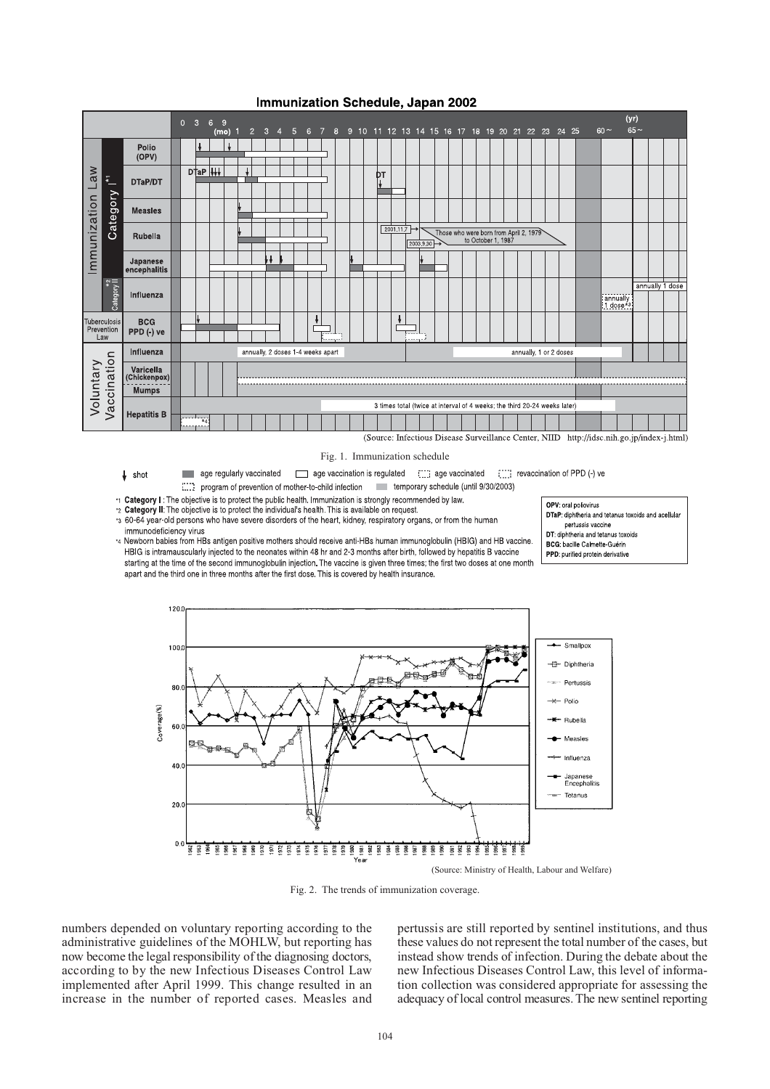

# Immunization Schedule, Japan 2002

(Source: Infectious Disease Surveillance Center, NIID http://idsc.nih.go.jp/index-j.html)

#### Fig. 1. Immunization schedule

age vaccination is regulated [111] age vaccinated [111] age vaccination of PPD (-) ve  $\downarrow$  shot age regularly vaccinated **College** 

temporary schedule (until 9/30/2003) program of prevention of mother-to-child infection

\*1 Category I: The objective is to protect the public health. Immunization is strongly recommended by law.

2 Category II: The objective is to protect the individual's health. This is available on request.<br>25 60-64 year-old persons who have severe disorders of the heart, kidney, respiratory organs, or from the human immunodeficiency virus

14 Newborn babies from HBs antigen positive mothers should receive anti-HBs human immunoglobulin (HBIG) and HB vaccine. HBIG is intramauscularly injected to the neonates within 48 hr and 2-3 months after birth, followed by hepatitis B vaccine starting at the time of the second immunoglobulin injection. The vaccine is given three times; the first two doses at one month apart and the third one in three months after the first dose. This is covered by health insurance.





Fig. 2. The trends of immunization coverage.

numbers depended on voluntary reporting according to the administrative guidelines of the MOHLW, but reporting has now become the legal responsibility of the diagnosing doctors, according to by the new Infectious Diseases Control Law implemented after April 1999. This change resulted in an increase in the number of reported cases. Measles and

pertussis are still reported by sentinel institutions, and thus these values do not represent the total number of the cases, but instead show trends of infection. During the debate about the new Infectious Diseases Control Law, this level of information collection was considered appropriate for assessing the adequacy of local control measures. The new sentinel reporting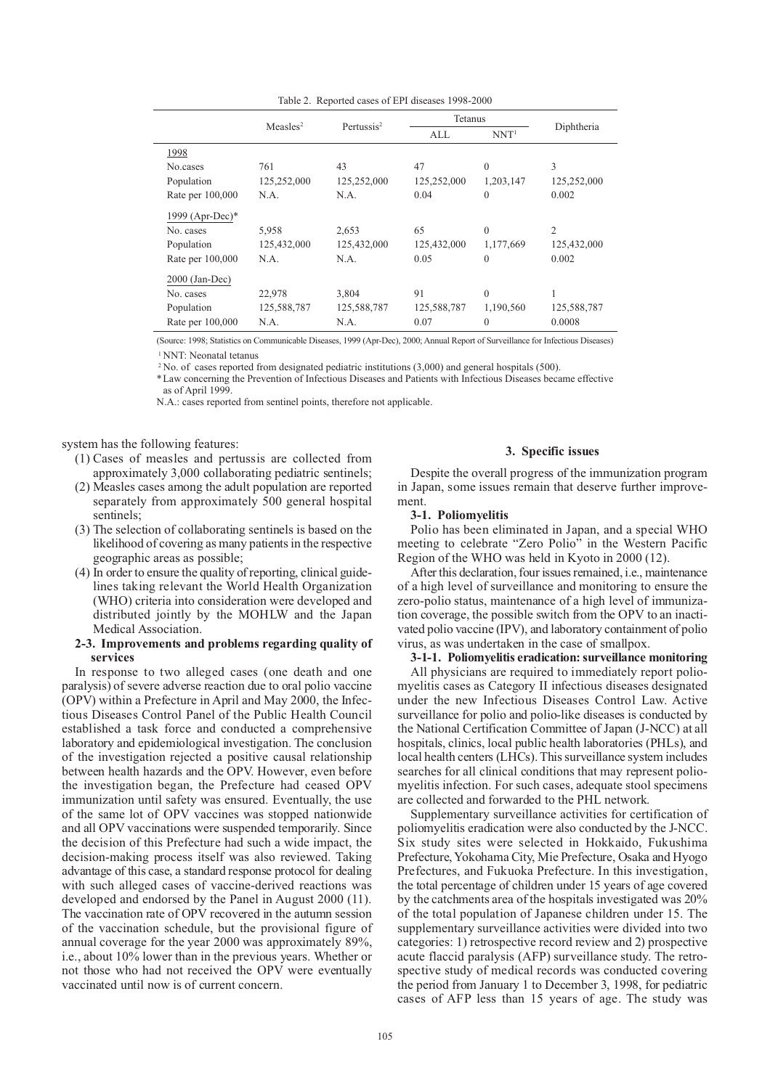| Table 2. Reported eases of ETT diseases $1770-2000$ |                      |                        |             |                  |                |  |  |
|-----------------------------------------------------|----------------------|------------------------|-------------|------------------|----------------|--|--|
|                                                     | Measles <sup>2</sup> | Pertussis <sup>2</sup> | Tetanus     |                  |                |  |  |
|                                                     |                      |                        | ALL         | NNT <sup>1</sup> | Diphtheria     |  |  |
| 1998                                                |                      |                        |             |                  |                |  |  |
| No.cases                                            | 761                  | 43                     | 47          | $\theta$         | 3              |  |  |
| Population                                          | 125,252,000          | 125,252,000            | 125,252,000 | 1,203,147        | 125,252,000    |  |  |
| Rate per 100,000                                    | N.A.                 | N.A.                   | 0.04        | $\theta$         | 0.002          |  |  |
| 1999 (Apr-Dec)*                                     |                      |                        |             |                  |                |  |  |
| No. cases                                           | 5,958                | 2,653                  | 65          | $\theta$         | $\overline{c}$ |  |  |
| Population                                          | 125,432,000          | 125,432,000            | 125,432,000 | 1,177,669        | 125,432,000    |  |  |
| Rate per 100,000                                    | N.A.                 | N.A.                   | 0.05        | $\mathbf{0}$     | 0.002          |  |  |
| $2000$ (Jan-Dec)                                    |                      |                        |             |                  |                |  |  |
| No. cases                                           | 22,978               | 3.804                  | 91          | $\Omega$         | 1              |  |  |
| Population                                          | 125,588,787          | 125,588,787            | 125,588,787 | 1,190,560        | 125,588,787    |  |  |
| Rate per 100,000                                    | N.A.                 | N.A.                   | 0.07        | $\theta$         | 0.0008         |  |  |
|                                                     |                      |                        |             |                  |                |  |  |

(Source: 1998; Statistics on Communicable Diseases, 1999 (Apr-Dec), 2000; Annual Report of Surveillance for Infectious Diseases)

<sup>1</sup> NNT: Neonatal tetanus

<sup>2</sup> No. of cases reported from designated pediatric institutions (3,000) and general hospitals (500).

\*Law concerning the Prevention of Infectious Diseases and Patients with Infectious Diseases became effective as of April 1999.

N.A.: cases reported from sentinel points, therefore not applicable.

system has the following features:

- (1) Cases of measles and pertussis are collected from approximately 3,000 collaborating pediatric sentinels;
- (2) Measles cases among the adult population are reported separately from approximately 500 general hospital sentinels;
- (3) The selection of collaborating sentinels is based on the likelihood of covering as many patients in the respective geographic areas as possible;
- (4) In order to ensure the quality of reporting, clinical guidelines taking relevant the World Health Organization (WHO) criteria into consideration were developed and distributed jointly by the MOHLW and the Japan Medical Association.

## **2-3. Improvements and problems regarding quality of services**

In response to two alleged cases (one death and one paralysis) of severe adverse reaction due to oral polio vaccine (OPV) within a Prefecture in April and May 2000, the Infectious Diseases Control Panel of the Public Health Council established a task force and conducted a comprehensive laboratory and epidemiological investigation. The conclusion of the investigation rejected a positive causal relationship between health hazards and the OPV. However, even before the investigation began, the Prefecture had ceased OPV immunization until safety was ensured. Eventually, the use of the same lot of OPV vaccines was stopped nationwide and all OPV vaccinations were suspended temporarily. Since the decision of this Prefecture had such a wide impact, the decision-making process itself was also reviewed. Taking advantage of this case, a standard response protocol for dealing with such alleged cases of vaccine-derived reactions was developed and endorsed by the Panel in August 2000 (11). The vaccination rate of OPV recovered in the autumn session of the vaccination schedule, but the provisional figure of annual coverage for the year 2000 was approximately 89%, i.e., about 10% lower than in the previous years. Whether or not those who had not received the OPV were eventually vaccinated until now is of current concern.

## **3. Specific issues**

Despite the overall progress of the immunization program in Japan, some issues remain that deserve further improvement.

### **3-1. Poliomyelitis**

Polio has been eliminated in Japan, and a special WHO meeting to celebrate "Zero Polio" in the Western Pacific Region of the WHO was held in Kyoto in 2000 (12).

After this declaration, four issues remained, i.e., maintenance of a high level of surveillance and monitoring to ensure the zero-polio status, maintenance of a high level of immunization coverage, the possible switch from the OPV to an inactivated polio vaccine (IPV), and laboratory containment of polio virus, as was undertaken in the case of smallpox.

## **3-1-1. Poliomyelitis eradication: surveillance monitoring**

All physicians are required to immediately report poliomyelitis cases as Category II infectious diseases designated under the new Infectious Diseases Control Law. Active surveillance for polio and polio-like diseases is conducted by the National Certification Committee of Japan (J-NCC) at all hospitals, clinics, local public health laboratories (PHLs), and local health centers (LHCs). This surveillance system includes searches for all clinical conditions that may represent poliomyelitis infection. For such cases, adequate stool specimens are collected and forwarded to the PHL network.

Supplementary surveillance activities for certification of poliomyelitis eradication were also conducted by the J-NCC. Six study sites were selected in Hokkaido, Fukushima Prefecture, Yokohama City, Mie Prefecture, Osaka and Hyogo Prefectures, and Fukuoka Prefecture. In this investigation, the total percentage of children under 15 years of age covered by the catchments area of the hospitals investigated was 20% of the total population of Japanese children under 15. The supplementary surveillance activities were divided into two categories: 1) retrospective record review and 2) prospective acute flaccid paralysis (AFP) surveillance study. The retrospective study of medical records was conducted covering the period from January 1 to December 3, 1998, for pediatric cases of AFP less than 15 years of age. The study was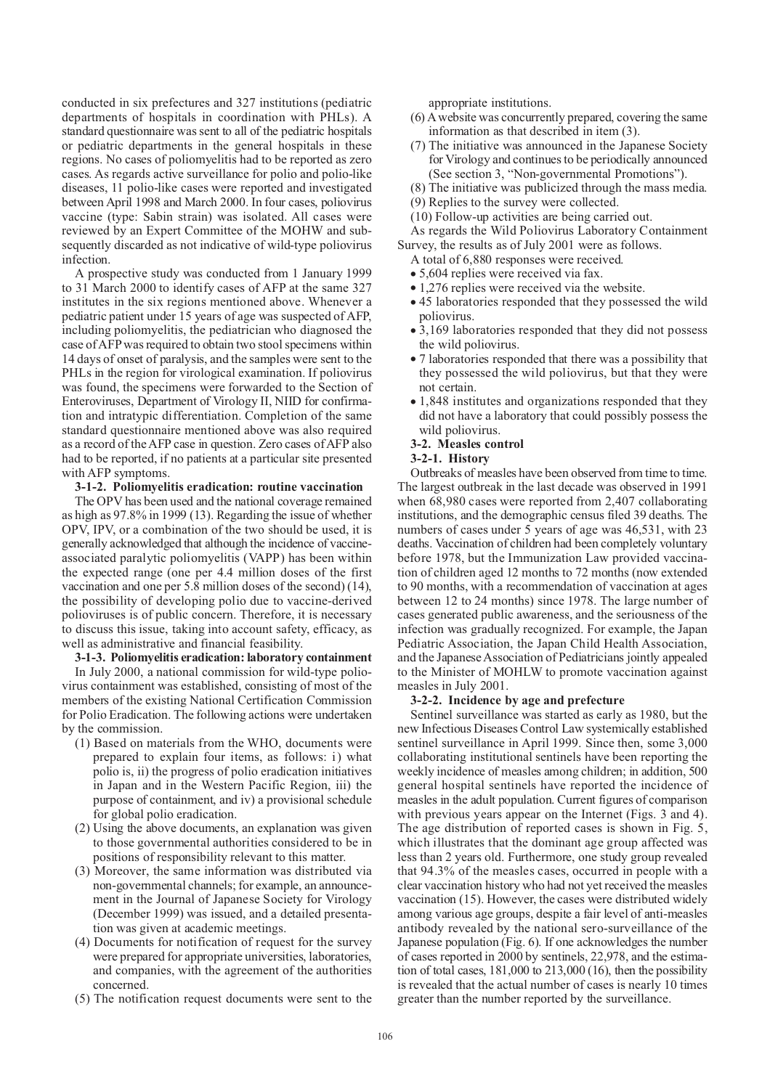conducted in six prefectures and 327 institutions (pediatric departments of hospitals in coordination with PHLs). A standard questionnaire was sent to all of the pediatric hospitals or pediatric departments in the general hospitals in these regions. No cases of poliomyelitis had to be reported as zero cases. As regards active surveillance for polio and polio-like diseases, 11 polio-like cases were reported and investigated between April 1998 and March 2000. In four cases, poliovirus vaccine (type: Sabin strain) was isolated. All cases were reviewed by an Expert Committee of the MOHW and subsequently discarded as not indicative of wild-type poliovirus infection.

A prospective study was conducted from 1 January 1999 to 31 March 2000 to identify cases of AFP at the same 327 institutes in the six regions mentioned above. Whenever a pediatric patient under 15 years of age was suspected of AFP, including poliomyelitis, the pediatrician who diagnosed the case of AFP was required to obtain two stool specimens within 14 days of onset of paralysis, and the samples were sent to the PHLs in the region for virological examination. If poliovirus was found, the specimens were forwarded to the Section of Enteroviruses, Department of Virology II, NIID for confirmation and intratypic differentiation. Completion of the same standard questionnaire mentioned above was also required as a record of the AFP case in question. Zero cases of AFP also had to be reported, if no patients at a particular site presented with AFP symptoms.

## **3-1-2. Poliomyelitis eradication: routine vaccination**

The OPV has been used and the national coverage remained as high as 97.8% in 1999 (13). Regarding the issue of whether OPV, IPV, or a combination of the two should be used, it is generally acknowledged that although the incidence of vaccineassociated paralytic poliomyelitis (VAPP) has been within the expected range (one per 4.4 million doses of the first vaccination and one per 5.8 million doses of the second) (14), the possibility of developing polio due to vaccine-derived polioviruses is of public concern. Therefore, it is necessary to discuss this issue, taking into account safety, efficacy, as well as administrative and financial feasibility.

## **3-1-3. Poliomyelitis eradication: laboratory containment**

In July 2000, a national commission for wild-type poliovirus containment was established, consisting of most of the members of the existing National Certification Commission for Polio Eradication. The following actions were undertaken by the commission.

- (1) Based on materials from the WHO, documents were prepared to explain four items, as follows: i) what polio is, ii) the progress of polio eradication initiatives in Japan and in the Western Pacific Region, iii) the purpose of containment, and iv) a provisional schedule for global polio eradication.
- (2) Using the above documents, an explanation was given to those governmental authorities considered to be in positions of responsibility relevant to this matter.
- (3) Moreover, the same information was distributed via non-governmental channels; for example, an announcement in the Journal of Japanese Society for Virology (December 1999) was issued, and a detailed presentation was given at academic meetings.
- (4) Documents for notification of request for the survey were prepared for appropriate universities, laboratories, and companies, with the agreement of the authorities concerned.
- (5) The notification request documents were sent to the

appropriate institutions.

- (6) A website was concurrently prepared, covering the same information as that described in item (3).
- (7) The initiative was announced in the Japanese Society for Virology and continues to be periodically announced (See section 3, "Non-governmental Promotions").
- (8) The initiative was publicized through the mass media.
- (9) Replies to the survey were collected.
- (10) Follow-up activities are being carried out.
- As regards the Wild Poliovirus Laboratory Containment Survey, the results as of July 2001 were as follows.
	- A total of 6,880 responses were received.
	- 5,604 replies were received via fax.
	- 1,276 replies were received via the website.
	- 45 laboratories responded that they possessed the wild poliovirus.
	- 3,169 laboratories responded that they did not possess the wild poliovirus.
	- 7 laboratories responded that there was a possibility that they possessed the wild poliovirus, but that they were not certain.
	- 1,848 institutes and organizations responded that they did not have a laboratory that could possibly possess the wild poliovirus.

# **3-2. Measles control**

# **3-2-1. History**

Outbreaks of measles have been observed from time to time. The largest outbreak in the last decade was observed in 1991 when 68,980 cases were reported from 2,407 collaborating institutions, and the demographic census filed 39 deaths. The numbers of cases under 5 years of age was 46,531, with 23 deaths. Vaccination of children had been completely voluntary before 1978, but the Immunization Law provided vaccination of children aged 12 months to 72 months (now extended to 90 months, with a recommendation of vaccination at ages between 12 to 24 months) since 1978. The large number of cases generated public awareness, and the seriousness of the infection was gradually recognized. For example, the Japan Pediatric Association, the Japan Child Health Association, and the Japanese Association of Pediatricians jointly appealed to the Minister of MOHLW to promote vaccination against measles in July 2001.

#### **3-2-2. Incidence by age and prefecture**

Sentinel surveillance was started as early as 1980, but the new Infectious Diseases Control Law systemically established sentinel surveillance in April 1999. Since then, some 3,000 collaborating institutional sentinels have been reporting the weekly incidence of measles among children; in addition, 500 general hospital sentinels have reported the incidence of measles in the adult population. Current figures of comparison with previous years appear on the Internet (Figs. 3 and 4). The age distribution of reported cases is shown in Fig. 5, which illustrates that the dominant age group affected was less than 2 years old. Furthermore, one study group revealed that 94.3% of the measles cases, occurred in people with a clear vaccination history who had not yet received the measles vaccination (15). However, the cases were distributed widely among various age groups, despite a fair level of anti-measles antibody revealed by the national sero-surveillance of the Japanese population (Fig. 6). If one acknowledges the number of cases reported in 2000 by sentinels, 22,978, and the estimation of total cases, 181,000 to 213,000 (16), then the possibility is revealed that the actual number of cases is nearly 10 times greater than the number reported by the surveillance.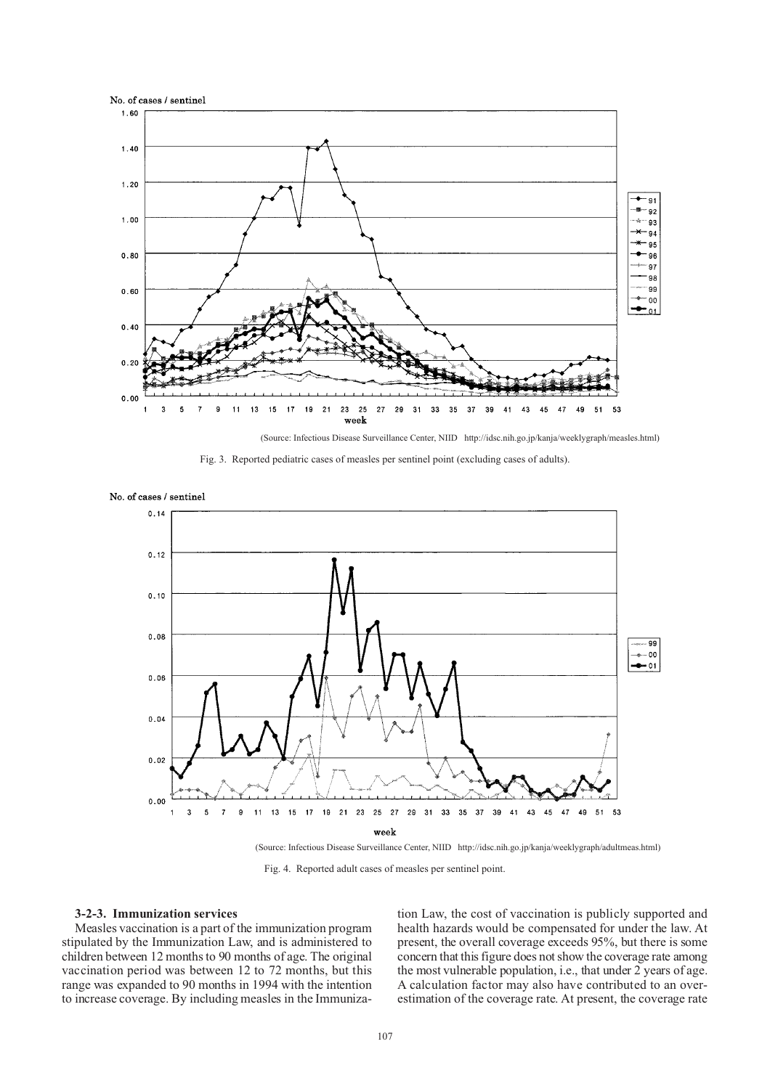

(Source: Infectious Disease Surveillance Center, NIID http://idsc.nih.go.jp/kanja/weeklygraph/measles.html)





No. of cases / sentinel

Fig. 4. Reported adult cases of measles per sentinel point.

#### **3-2-3. Immunization services**

Measles vaccination is a part of the immunization program stipulated by the Immunization Law, and is administered to children between 12 months to 90 months of age. The original vaccination period was between 12 to 72 months, but this range was expanded to 90 months in 1994 with the intention to increase coverage. By including measles in the Immunization Law, the cost of vaccination is publicly supported and health hazards would be compensated for under the law. At present, the overall coverage exceeds 95%, but there is some concern that this figure does not show the coverage rate among the most vulnerable population, i.e., that under 2 years of age. A calculation factor may also have contributed to an overestimation of the coverage rate. At present, the coverage rate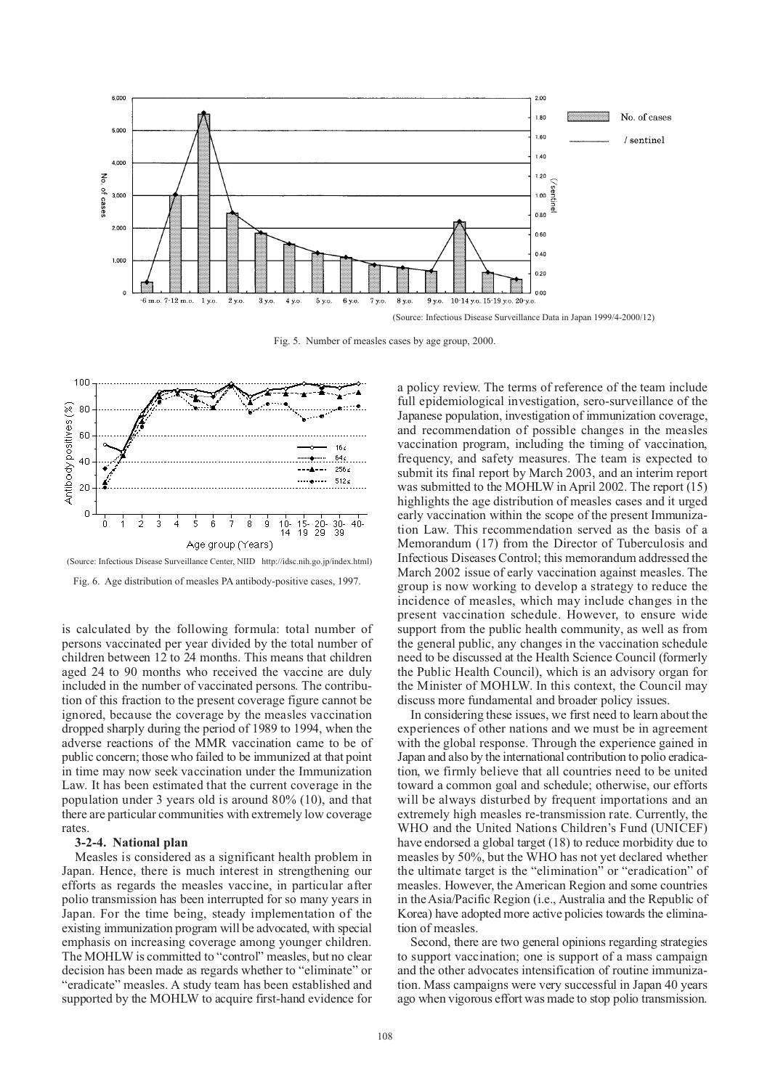

Fig. 5. Number of measles cases by age group, 2000.



(Source: Infectious Disease Surveillance Center, NIID http://idsc.nih.go.jp/index.html)

Fig. 6. Age distribution of measles PA antibody-positive cases, 1997.

is calculated by the following formula: total number of persons vaccinated per year divided by the total number of children between 12 to 24 months. This means that children aged 24 to 90 months who received the vaccine are duly included in the number of vaccinated persons. The contribution of this fraction to the present coverage figure cannot be ignored, because the coverage by the measles vaccination dropped sharply during the period of 1989 to 1994, when the adverse reactions of the MMR vaccination came to be of public concern; those who failed to be immunized at that point in time may now seek vaccination under the Immunization Law. It has been estimated that the current coverage in the population under 3 years old is around 80% (10), and that there are particular communities with extremely low coverage rates.

#### **3-2-4. National plan**

Measles is considered as a significant health problem in Japan. Hence, there is much interest in strengthening our efforts as regards the measles vaccine, in particular after polio transmission has been interrupted for so many years in Japan. For the time being, steady implementation of the existing immunization program will be advocated, with special emphasis on increasing coverage among younger children. The MOHLW is committed to "control" measles, but no clear decision has been made as regards whether to "eliminate" or "eradicate" measles. A study team has been established and supported by the MOHLW to acquire first-hand evidence for

a policy review. The terms of reference of the team include full epidemiological investigation, sero-surveillance of the Japanese population, investigation of immunization coverage, and recommendation of possible changes in the measles vaccination program, including the timing of vaccination, frequency, and safety measures. The team is expected to submit its final report by March 2003, and an interim report was submitted to the MOHLW in April 2002. The report (15) highlights the age distribution of measles cases and it urged early vaccination within the scope of the present Immunization Law. This recommendation served as the basis of a Memorandum (17) from the Director of Tuberculosis and Infectious Diseases Control; this memorandum addressed the March 2002 issue of early vaccination against measles. The group is now working to develop a strategy to reduce the incidence of measles, which may include changes in the present vaccination schedule. However, to ensure wide support from the public health community, as well as from the general public, any changes in the vaccination schedule need to be discussed at the Health Science Council (formerly the Public Health Council), which is an advisory organ for the Minister of MOHLW. In this context, the Council may discuss more fundamental and broader policy issues.

In considering these issues, we first need to learn about the experiences of other nations and we must be in agreement with the global response. Through the experience gained in Japan and also by the international contribution to polio eradication, we firmly believe that all countries need to be united toward a common goal and schedule; otherwise, our efforts will be always disturbed by frequent importations and an extremely high measles re-transmission rate. Currently, the WHO and the United Nations Children's Fund (UNICEF) have endorsed a global target (18) to reduce morbidity due to measles by 50%, but the WHO has not yet declared whether the ultimate target is the "elimination" or "eradication" of measles. However, the American Region and some countries in the Asia/Pacific Region (i.e., Australia and the Republic of Korea) have adopted more active policies towards the elimination of measles.

Second, there are two general opinions regarding strategies to support vaccination; one is support of a mass campaign and the other advocates intensification of routine immunization. Mass campaigns were very successful in Japan 40 years ago when vigorous effort was made to stop polio transmission.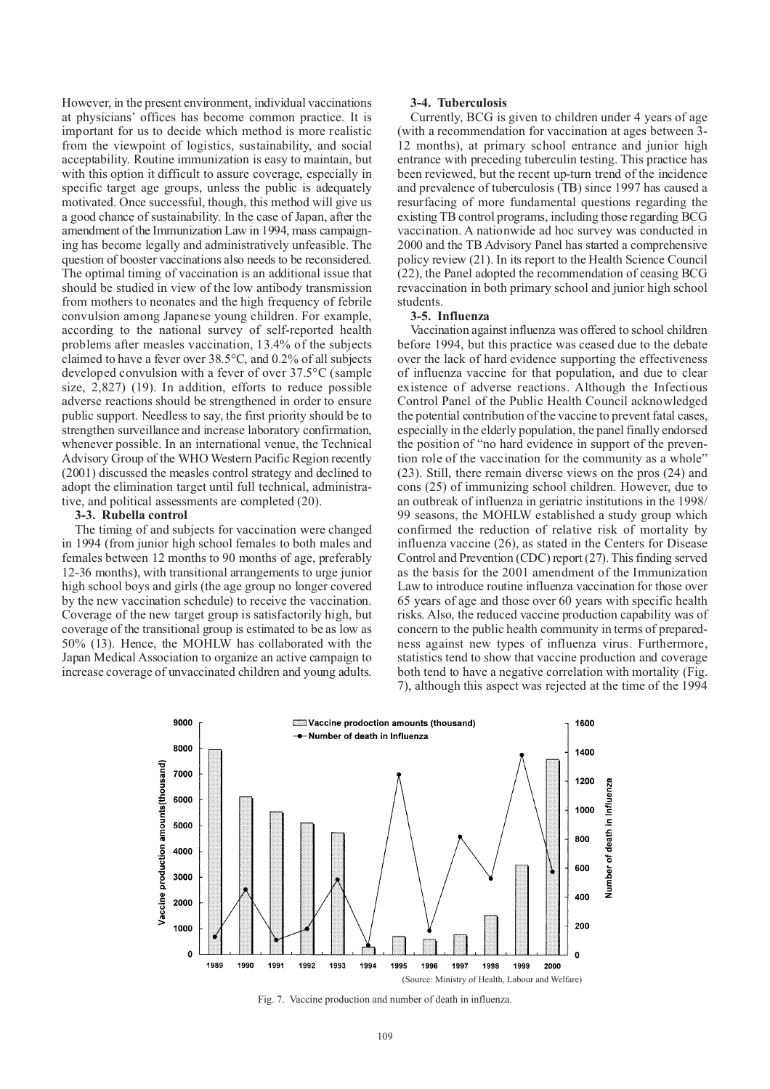However, in the present environment, individual vaccinations at physicians' offices has become common practice. It is important for us to decide which method is more realistic from the viewpoint of logistics, sustainability, and social acceptability. Routine immunization is easy to maintain, but with this option it difficult to assure coverage, especially in specific target age groups, unless the public is adequately motivated. Once successful, though, this method will give us a good chance of sustainability. In the case of Japan, after the amendment of the Immunization Law in 1994, mass campaigning has become legally and administratively unfeasible. The question of booster vaccinations also needs to be reconsidered. The optimal timing of vaccination is an additional issue that should be studied in view of the low antibody transmission from mothers to neonates and the high frequency of febrile convulsion among Japanese young children. For example, according to the national survey of self-reported health problems after measles vaccination, 13.4% of the subjects claimed to have a fever over 38.5°C, and 0.2% of all subjects developed convulsion with a fever of over 37.5°C (sample size, 2,827) (19). In addition, efforts to reduce possible adverse reactions should be strengthened in order to ensure public support. Needless to say, the first priority should be to strengthen surveillance and increase laboratory confirmation, whenever possible. In an international venue, the Technical Advisory Group of the WHO Western Pacific Region recently (2001) discussed the measles control strategy and declined to adopt the elimination target until full technical, administrative, and political assessments are completed (20).

#### **3-3. Rubella control**

The timing of and subjects for vaccination were changed in 1994 (from junior high school females to both males and females between 12 months to 90 months of age, preferably 12-36 months), with transitional arrangements to urge junior high school boys and girls (the age group no longer covered by the new vaccination schedule) to receive the vaccination. Coverage of the new target group is satisfactorily high, but coverage of the transitional group is estimated to be as low as 50% (13). Hence, the MOHLW has collaborated with the Japan Medical Association to organize an active campaign to increase coverage of unvaccinated children and young adults.

## **3-4. Tuberculosis**

Currently, BCG is given to children under 4 years of age (with a recommendation for vaccination at ages between 3- 12 months), at primary school entrance and junior high entrance with preceding tuberculin testing. This practice has been reviewed, but the recent up-turn trend of the incidence and prevalence of tuberculosis (TB) since 1997 has caused a resurfacing of more fundamental questions regarding the existing TB control programs, including those regarding BCG vaccination. A nationwide ad hoc survey was conducted in 2000 and the TB Advisory Panel has started a comprehensive policy review (21). In its report to the Health Science Council (22), the Panel adopted the recommendation of ceasing BCG revaccination in both primary school and junior high school students.

#### **3-5. Influenza**

Vaccination against influenza was offered to school children before 1994, but this practice was ceased due to the debate over the lack of hard evidence supporting the effectiveness of influenza vaccine for that population, and due to clear existence of adverse reactions. Although the Infectious Control Panel of the Public Health Council acknowledged the potential contribution of the vaccine to prevent fatal cases, especially in the elderly population, the panel finally endorsed the position of "no hard evidence in support of the prevention role of the vaccination for the community as a whole" (23). Still, there remain diverse views on the pros (24) and cons (25) of immunizing school children. However, due to an outbreak of influenza in geriatric institutions in the 1998/ 99 seasons, the MOHLW established a study group which confirmed the reduction of relative risk of mortality by influenza vaccine (26), as stated in the Centers for Disease Control and Prevention (CDC) report (27). This finding served as the basis for the 2001 amendment of the Immunization Law to introduce routine influenza vaccination for those over 65 years of age and those over 60 years with specific health risks. Also, the reduced vaccine production capability was of concern to the public health community in terms of preparedness against new types of influenza virus. Furthermore, statistics tend to show that vaccine production and coverage both tend to have a negative correlation with mortality (Fig. 7), although this aspect was rejected at the time of the 1994



Fig. 7. Vaccine production and number of death in influenza.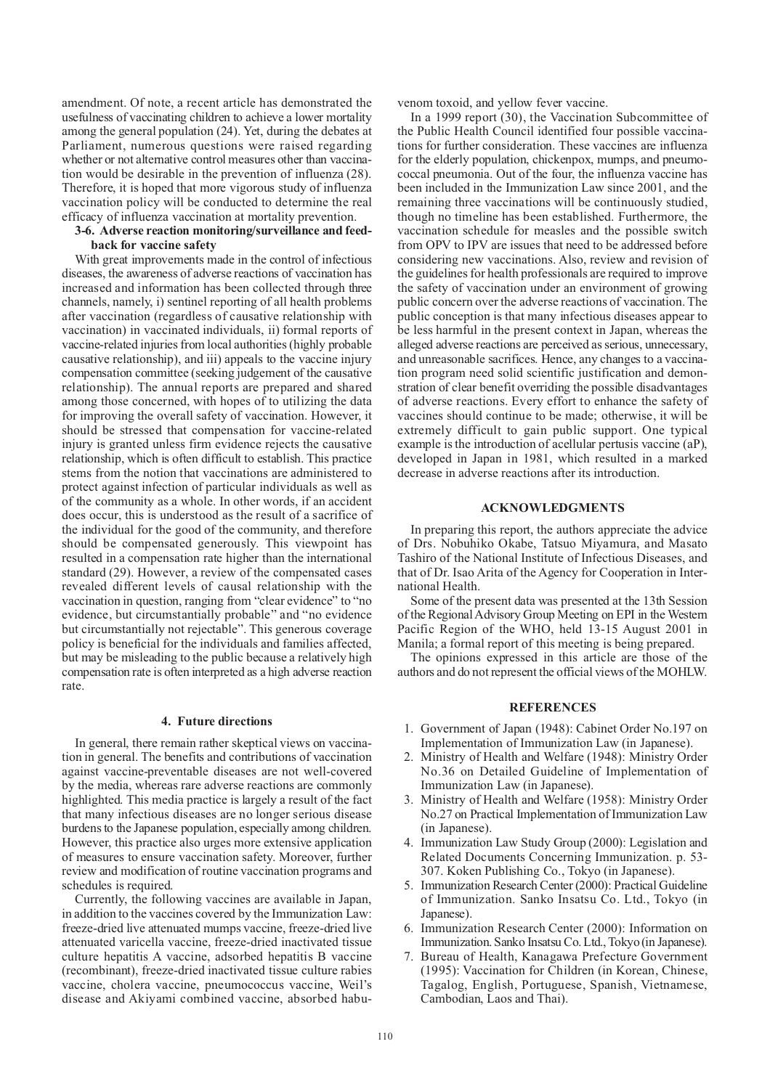amendment. Of note, a recent article has demonstrated the usefulness of vaccinating children to achieve a lower mortality among the general population (24). Yet, during the debates at Parliament, numerous questions were raised regarding whether or not alternative control measures other than vaccination would be desirable in the prevention of influenza (28). Therefore, it is hoped that more vigorous study of influenza vaccination policy will be conducted to determine the real efficacy of influenza vaccination at mortality prevention.

## **3-6. Adverse reaction monitoring/surveillance and feedback for vaccine safety**

With great improvements made in the control of infectious diseases, the awareness of adverse reactions of vaccination has increased and information has been collected through three channels, namely, i) sentinel reporting of all health problems after vaccination (regardless of causative relationship with vaccination) in vaccinated individuals, ii) formal reports of vaccine-related injuries from local authorities (highly probable causative relationship), and iii) appeals to the vaccine injury compensation committee (seeking judgement of the causative relationship). The annual reports are prepared and shared among those concerned, with hopes of to utilizing the data for improving the overall safety of vaccination. However, it should be stressed that compensation for vaccine-related injury is granted unless firm evidence rejects the causative relationship, which is often difficult to establish. This practice stems from the notion that vaccinations are administered to protect against infection of particular individuals as well as of the community as a whole. In other words, if an accident does occur, this is understood as the result of a sacrifice of the individual for the good of the community, and therefore should be compensated generously. This viewpoint has resulted in a compensation rate higher than the international standard (29). However, a review of the compensated cases revealed different levels of causal relationship with the vaccination in question, ranging from "clear evidence" to "no evidence, but circumstantially probable" and "no evidence but circumstantially not rejectable". This generous coverage policy is beneficial for the individuals and families affected, but may be misleading to the public because a relatively high compensation rate is often interpreted as a high adverse reaction rate.

### **4. Future directions**

In general, there remain rather skeptical views on vaccination in general. The benefits and contributions of vaccination against vaccine-preventable diseases are not well-covered by the media, whereas rare adverse reactions are commonly highlighted. This media practice is largely a result of the fact that many infectious diseases are no longer serious disease burdens to the Japanese population, especially among children. However, this practice also urges more extensive application of measures to ensure vaccination safety. Moreover, further review and modification of routine vaccination programs and schedules is required.

Currently, the following vaccines are available in Japan, in addition to the vaccines covered by the Immunization Law: freeze-dried live attenuated mumps vaccine, freeze-dried live attenuated varicella vaccine, freeze-dried inactivated tissue culture hepatitis A vaccine, adsorbed hepatitis B vaccine (recombinant), freeze-dried inactivated tissue culture rabies vaccine, cholera vaccine, pneumococcus vaccine, Weil's disease and Akiyami combined vaccine, absorbed habuvenom toxoid, and yellow fever vaccine.

In a 1999 report (30), the Vaccination Subcommittee of the Public Health Council identified four possible vaccinations for further consideration. These vaccines are influenza for the elderly population, chickenpox, mumps, and pneumococcal pneumonia. Out of the four, the influenza vaccine has been included in the Immunization Law since 2001, and the remaining three vaccinations will be continuously studied, though no timeline has been established. Furthermore, the vaccination schedule for measles and the possible switch from OPV to IPV are issues that need to be addressed before considering new vaccinations. Also, review and revision of the guidelines for health professionals are required to improve the safety of vaccination under an environment of growing public concern over the adverse reactions of vaccination. The public conception is that many infectious diseases appear to be less harmful in the present context in Japan, whereas the alleged adverse reactions are perceived as serious, unnecessary, and unreasonable sacrifices. Hence, any changes to a vaccination program need solid scientific justification and demonstration of clear benefit overriding the possible disadvantages of adverse reactions. Every effort to enhance the safety of vaccines should continue to be made; otherwise, it will be extremely difficult to gain public support. One typical example is the introduction of acellular pertusis vaccine (aP), developed in Japan in 1981, which resulted in a marked decrease in adverse reactions after its introduction.

# **ACKNOWLEDGMENTS**

In preparing this report, the authors appreciate the advice of Drs. Nobuhiko Okabe, Tatsuo Miyamura, and Masato Tashiro of the National Institute of Infectious Diseases, and that of Dr. Isao Arita of the Agency for Cooperation in International Health.

Some of the present data was presented at the 13th Session of the Regional Advisory Group Meeting on EPI in the Western Pacific Region of the WHO, held 13-15 August 2001 in Manila; a formal report of this meeting is being prepared.

The opinions expressed in this article are those of the authors and do not represent the official views of the MOHLW.

## **REFERENCES**

- 1. Government of Japan (1948): Cabinet Order No.197 on Implementation of Immunization Law (in Japanese).
- 2. Ministry of Health and Welfare (1948): Ministry Order No.36 on Detailed Guideline of Implementation of Immunization Law (in Japanese).
- 3. Ministry of Health and Welfare (1958): Ministry Order No.27 on Practical Implementation of Immunization Law (in Japanese).
- 4. Immunization Law Study Group (2000): Legislation and Related Documents Concerning Immunization. p. 53- 307. Koken Publishing Co., Tokyo (in Japanese).
- 5. Immunization Research Center (2000): Practical Guideline of Immunization. Sanko Insatsu Co. Ltd., Tokyo (in Japanese).
- 6. Immunization Research Center (2000): Information on Immunization. Sanko Insatsu Co. Ltd., Tokyo (in Japanese).
- 7. Bureau of Health, Kanagawa Prefecture Government (1995): Vaccination for Children (in Korean, Chinese, Tagalog, English, Portuguese, Spanish, Vietnamese, Cambodian, Laos and Thai).